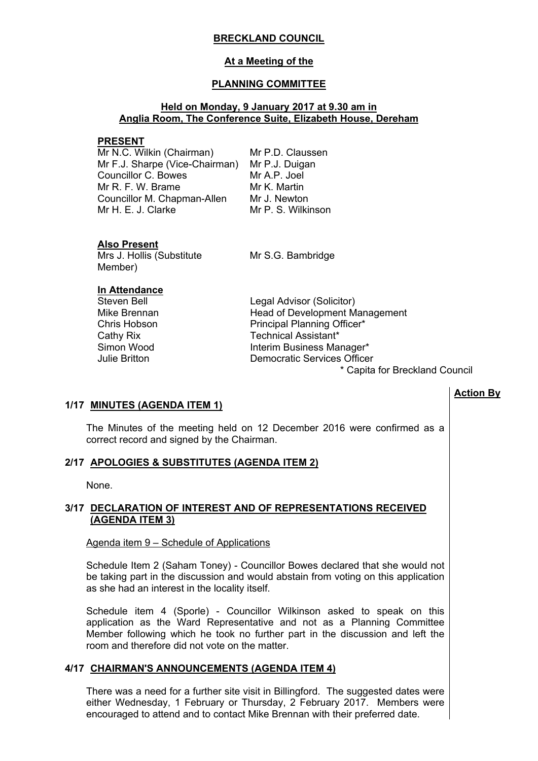## **BRECKLAND COUNCIL**

## **At a Meeting of the**

## **PLANNING COMMITTEE**

### **Held on Monday, 9 January 2017 at 9.30 am in Anglia Room, The Conference Suite, Elizabeth House, Dereham**

#### **PRESENT**

Mr N.C. Wilkin (Chairman) Mr F.J. Sharpe (Vice-Chairman) Mr P.J. Duigan Councillor C. Bowes Mr R. F. W. Brame Councillor M. Chapman-Allen Mr H. E. J. Clarke

Mr P.D. Claussen Mr A.P. Joel Mr K. Martin Mr J. Newton Mr P. S. Wilkinson

#### **Also Present**

Mrs J. Hollis (Substitute Member)

Mr S.G. Bambridge

### **In Attendance**

Steven Bell **Legal Advisor (Solicitor)** Mike Brennan Head of Development Management Chris Hobson **Principal Planning Officer\*** Cathy Rix **Technical Assistant**\* Simon Wood **Interim Business Manager\*** Julie Britton Democratic Services Officer

\* Capita for Breckland Council

# **Action By**

#### **1/17 MINUTES (AGENDA ITEM 1)**

The Minutes of the meeting held on 12 December 2016 were confirmed as a correct record and signed by the Chairman.

#### **2/17 APOLOGIES & SUBSTITUTES (AGENDA ITEM 2)**

None.

### **3/17 DECLARATION OF INTEREST AND OF REPRESENTATIONS RECEIVED (AGENDA ITEM 3)**

#### Agenda item 9 – Schedule of Applications

Schedule Item 2 (Saham Toney) - Councillor Bowes declared that she would not be taking part in the discussion and would abstain from voting on this application as she had an interest in the locality itself.

Schedule item 4 (Sporle) - Councillor Wilkinson asked to speak on this application as the Ward Representative and not as a Planning Committee Member following which he took no further part in the discussion and left the room and therefore did not vote on the matter.

# **4/17 CHAIRMAN'S ANNOUNCEMENTS (AGENDA ITEM 4)**

There was a need for a further site visit in Billingford. The suggested dates were either Wednesday, 1 February or Thursday, 2 February 2017. Members were encouraged to attend and to contact Mike Brennan with their preferred date.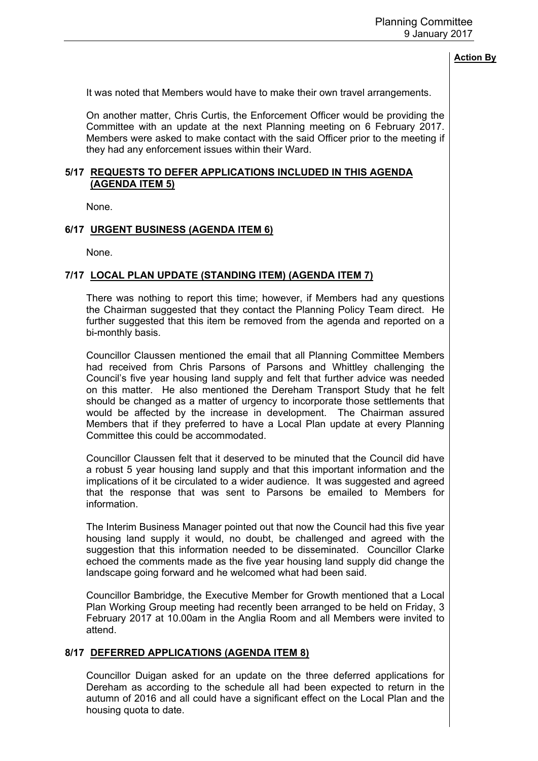It was noted that Members would have to make their own travel arrangements.

On another matter, Chris Curtis, the Enforcement Officer would be providing the Committee with an update at the next Planning meeting on 6 February 2017. Members were asked to make contact with the said Officer prior to the meeting if they had any enforcement issues within their Ward.

## **5/17 REQUESTS TO DEFER APPLICATIONS INCLUDED IN THIS AGENDA (AGENDA ITEM 5)**

None.

### **6/17 URGENT BUSINESS (AGENDA ITEM 6)**

None.

### **7/17 LOCAL PLAN UPDATE (STANDING ITEM) (AGENDA ITEM 7)**

There was nothing to report this time; however, if Members had any questions the Chairman suggested that they contact the Planning Policy Team direct. He further suggested that this item be removed from the agenda and reported on a bi-monthly basis.

Councillor Claussen mentioned the email that all Planning Committee Members had received from Chris Parsons of Parsons and Whittley challenging the Council's five year housing land supply and felt that further advice was needed on this matter. He also mentioned the Dereham Transport Study that he felt should be changed as a matter of urgency to incorporate those settlements that would be affected by the increase in development. The Chairman assured Members that if they preferred to have a Local Plan update at every Planning Committee this could be accommodated.

Councillor Claussen felt that it deserved to be minuted that the Council did have a robust 5 year housing land supply and that this important information and the implications of it be circulated to a wider audience. It was suggested and agreed that the response that was sent to Parsons be emailed to Members for information.

The Interim Business Manager pointed out that now the Council had this five year housing land supply it would, no doubt, be challenged and agreed with the suggestion that this information needed to be disseminated. Councillor Clarke echoed the comments made as the five year housing land supply did change the landscape going forward and he welcomed what had been said.

Councillor Bambridge, the Executive Member for Growth mentioned that a Local Plan Working Group meeting had recently been arranged to be held on Friday, 3 February 2017 at 10.00am in the Anglia Room and all Members were invited to attend.

### **8/17 DEFERRED APPLICATIONS (AGENDA ITEM 8)**

Councillor Duigan asked for an update on the three deferred applications for Dereham as according to the schedule all had been expected to return in the autumn of 2016 and all could have a significant effect on the Local Plan and the housing quota to date.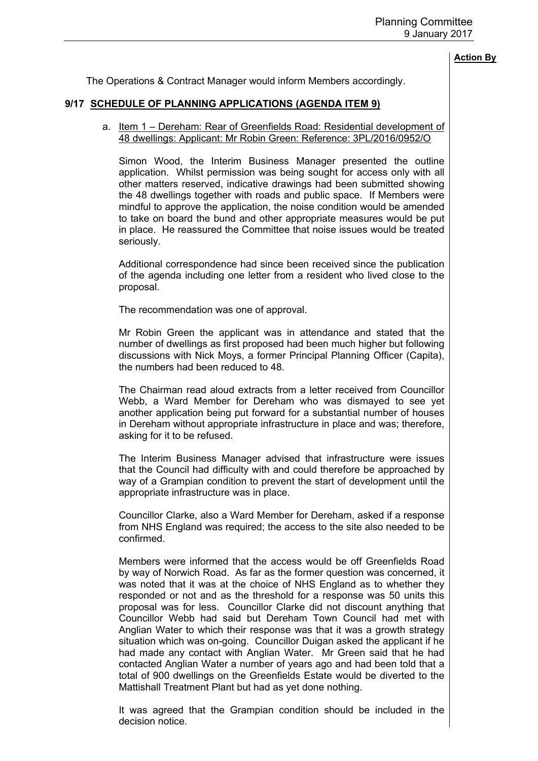The Operations & Contract Manager would inform Members accordingly.

### **9/17 SCHEDULE OF PLANNING APPLICATIONS (AGENDA ITEM 9)**

#### a. Item 1 – Dereham: Rear of Greenfields Road: Residential development of 48 dwellings: Applicant: Mr Robin Green: Reference: 3PL/2016/0952/O

Simon Wood, the Interim Business Manager presented the outline application. Whilst permission was being sought for access only with all other matters reserved, indicative drawings had been submitted showing the 48 dwellings together with roads and public space. If Members were mindful to approve the application, the noise condition would be amended to take on board the bund and other appropriate measures would be put in place. He reassured the Committee that noise issues would be treated seriously.

Additional correspondence had since been received since the publication of the agenda including one letter from a resident who lived close to the proposal.

The recommendation was one of approval.

Mr Robin Green the applicant was in attendance and stated that the number of dwellings as first proposed had been much higher but following discussions with Nick Moys, a former Principal Planning Officer (Capita), the numbers had been reduced to 48.

The Chairman read aloud extracts from a letter received from Councillor Webb, a Ward Member for Dereham who was dismayed to see yet another application being put forward for a substantial number of houses in Dereham without appropriate infrastructure in place and was; therefore, asking for it to be refused.

The Interim Business Manager advised that infrastructure were issues that the Council had difficulty with and could therefore be approached by way of a Grampian condition to prevent the start of development until the appropriate infrastructure was in place.

Councillor Clarke, also a Ward Member for Dereham, asked if a response from NHS England was required; the access to the site also needed to be confirmed.

Members were informed that the access would be off Greenfields Road by way of Norwich Road. As far as the former question was concerned, it was noted that it was at the choice of NHS England as to whether they responded or not and as the threshold for a response was 50 units this proposal was for less. Councillor Clarke did not discount anything that Councillor Webb had said but Dereham Town Council had met with Anglian Water to which their response was that it was a growth strategy situation which was on-going. Councillor Duigan asked the applicant if he had made any contact with Anglian Water. Mr Green said that he had contacted Anglian Water a number of years ago and had been told that a total of 900 dwellings on the Greenfields Estate would be diverted to the Mattishall Treatment Plant but had as yet done nothing.

It was agreed that the Grampian condition should be included in the decision notice.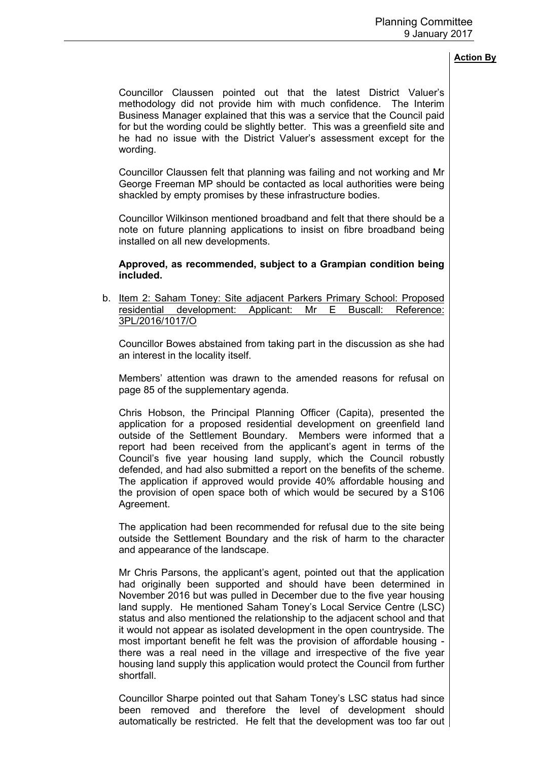Councillor Claussen pointed out that the latest District Valuer's methodology did not provide him with much confidence. The Interim Business Manager explained that this was a service that the Council paid for but the wording could be slightly better. This was a greenfield site and he had no issue with the District Valuer's assessment except for the wording.

Councillor Claussen felt that planning was failing and not working and Mr George Freeman MP should be contacted as local authorities were being shackled by empty promises by these infrastructure bodies.

Councillor Wilkinson mentioned broadband and felt that there should be a note on future planning applications to insist on fibre broadband being installed on all new developments.

### **Approved, as recommended, subject to a Grampian condition being included.**

b. Item 2: Saham Toney: Site adjacent Parkers Primary School: Proposed residential development: Applicant: Mr E Buscall: Reference: 3PL/2016/1017/O

Councillor Bowes abstained from taking part in the discussion as she had an interest in the locality itself.

Members' attention was drawn to the amended reasons for refusal on page 85 of the supplementary agenda.

Chris Hobson, the Principal Planning Officer (Capita), presented the application for a proposed residential development on greenfield land outside of the Settlement Boundary. Members were informed that a report had been received from the applicant's agent in terms of the Council's five year housing land supply, which the Council robustly defended, and had also submitted a report on the benefits of the scheme. The application if approved would provide 40% affordable housing and the provision of open space both of which would be secured by a S106 Agreement.

The application had been recommended for refusal due to the site being outside the Settlement Boundary and the risk of harm to the character and appearance of the landscape.

Mr Chris Parsons, the applicant's agent, pointed out that the application had originally been supported and should have been determined in November 2016 but was pulled in December due to the five year housing land supply. He mentioned Saham Toney's Local Service Centre (LSC) status and also mentioned the relationship to the adjacent school and that it would not appear as isolated development in the open countryside. The most important benefit he felt was the provision of affordable housing there was a real need in the village and irrespective of the five year housing land supply this application would protect the Council from further shortfall.

Councillor Sharpe pointed out that Saham Toney's LSC status had since been removed and therefore the level of development should automatically be restricted. He felt that the development was too far out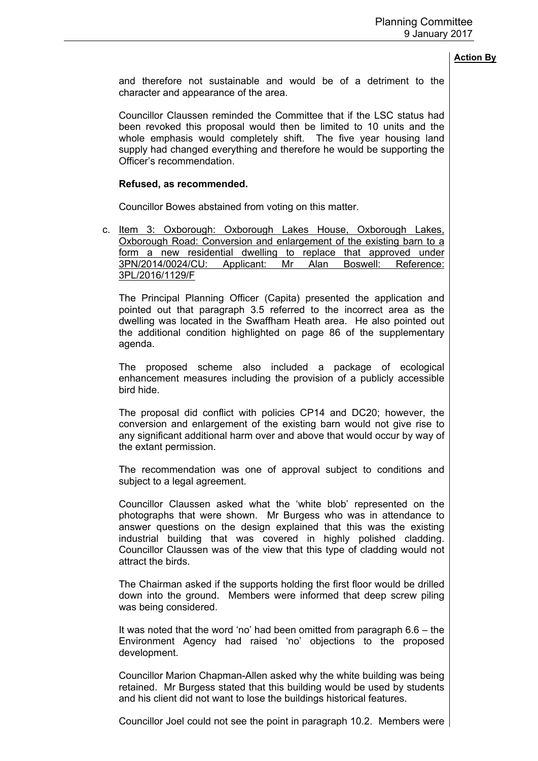and therefore not sustainable and would be of a detriment to the character and appearance of the area.

Councillor Claussen reminded the Committee that if the LSC status had been revoked this proposal would then be limited to 10 units and the whole emphasis would completely shift. The five year housing land supply had changed everything and therefore he would be supporting the Officer's recommendation.

#### **Refused, as recommended.**

Councillor Bowes abstained from voting on this matter.

c. Item 3: Oxborough: Oxborough Lakes House, Oxborough Lakes, Oxborough Road: Conversion and enlargement of the existing barn to a form a new residential dwelling to replace that approved under 3PN/2014/0024/CU: Applicant: Mr Alan Boswell: Reference: 3PL/2016/1129/F

The Principal Planning Officer (Capita) presented the application and pointed out that paragraph 3.5 referred to the incorrect area as the dwelling was located in the Swaffham Heath area. He also pointed out the additional condition highlighted on page 86 of the supplementary agenda.

The proposed scheme also included a package of ecological enhancement measures including the provision of a publicly accessible bird hide.

The proposal did conflict with policies CP14 and DC20; however, the conversion and enlargement of the existing barn would not give rise to any significant additional harm over and above that would occur by way of the extant permission.

The recommendation was one of approval subject to conditions and subject to a legal agreement.

Councillor Claussen asked what the 'white blob' represented on the photographs that were shown. Mr Burgess who was in attendance to answer questions on the design explained that this was the existing industrial building that was covered in highly polished cladding. Councillor Claussen was of the view that this type of cladding would not attract the birds.

The Chairman asked if the supports holding the first floor would be drilled down into the ground. Members were informed that deep screw piling was being considered.

It was noted that the word 'no' had been omitted from paragraph 6.6 – the Environment Agency had raised 'no' objections to the proposed development.

Councillor Marion Chapman-Allen asked why the white building was being retained. Mr Burgess stated that this building would be used by students and his client did not want to lose the buildings historical features.

Councillor Joel could not see the point in paragraph 10.2. Members were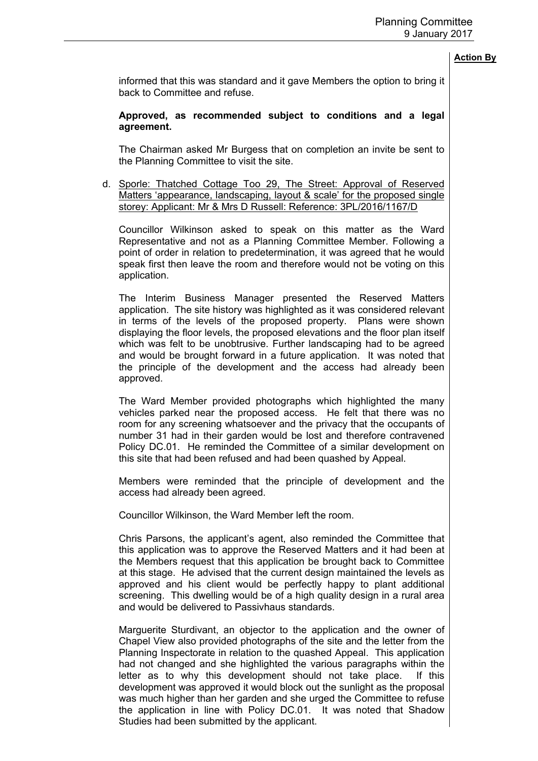informed that this was standard and it gave Members the option to bring it back to Committee and refuse.

### **Approved, as recommended subject to conditions and a legal agreement.**

The Chairman asked Mr Burgess that on completion an invite be sent to the Planning Committee to visit the site.

d. Sporle: Thatched Cottage Too 29, The Street: Approval of Reserved Matters 'appearance, landscaping, layout & scale' for the proposed single storey: Applicant: Mr & Mrs D Russell: Reference: 3PL/2016/1167/D

Councillor Wilkinson asked to speak on this matter as the Ward Representative and not as a Planning Committee Member. Following a point of order in relation to predetermination, it was agreed that he would speak first then leave the room and therefore would not be voting on this application.

The Interim Business Manager presented the Reserved Matters application. The site history was highlighted as it was considered relevant in terms of the levels of the proposed property. Plans were shown displaying the floor levels, the proposed elevations and the floor plan itself which was felt to be unobtrusive. Further landscaping had to be agreed and would be brought forward in a future application. It was noted that the principle of the development and the access had already been approved.

The Ward Member provided photographs which highlighted the many vehicles parked near the proposed access. He felt that there was no room for any screening whatsoever and the privacy that the occupants of number 31 had in their garden would be lost and therefore contravened Policy DC.01. He reminded the Committee of a similar development on this site that had been refused and had been quashed by Appeal.

Members were reminded that the principle of development and the access had already been agreed.

Councillor Wilkinson, the Ward Member left the room.

Chris Parsons, the applicant's agent, also reminded the Committee that this application was to approve the Reserved Matters and it had been at the Members request that this application be brought back to Committee at this stage. He advised that the current design maintained the levels as approved and his client would be perfectly happy to plant additional screening. This dwelling would be of a high quality design in a rural area and would be delivered to Passivhaus standards.

Marguerite Sturdivant, an objector to the application and the owner of Chapel View also provided photographs of the site and the letter from the Planning Inspectorate in relation to the quashed Appeal. This application had not changed and she highlighted the various paragraphs within the letter as to why this development should not take place. If this development was approved it would block out the sunlight as the proposal was much higher than her garden and she urged the Committee to refuse the application in line with Policy DC.01. It was noted that Shadow Studies had been submitted by the applicant.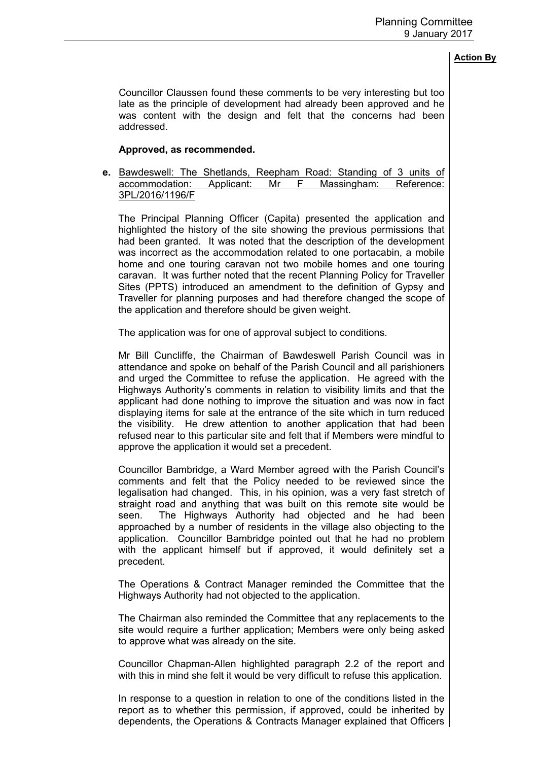Councillor Claussen found these comments to be very interesting but too late as the principle of development had already been approved and he was content with the design and felt that the concerns had been addressed.

### **Approved, as recommended.**

**e.** Bawdeswell: The Shetlands, Reepham Road: Standing of 3 units of accommodation: Applicant: Mr F Massingham: Reference: 3PL/2016/1196/F

The Principal Planning Officer (Capita) presented the application and highlighted the history of the site showing the previous permissions that had been granted. It was noted that the description of the development was incorrect as the accommodation related to one portacabin, a mobile home and one touring caravan not two mobile homes and one touring caravan. It was further noted that the recent Planning Policy for Traveller Sites (PPTS) introduced an amendment to the definition of Gypsy and Traveller for planning purposes and had therefore changed the scope of the application and therefore should be given weight.

The application was for one of approval subject to conditions.

Mr Bill Cuncliffe, the Chairman of Bawdeswell Parish Council was in attendance and spoke on behalf of the Parish Council and all parishioners and urged the Committee to refuse the application. He agreed with the Highways Authority's comments in relation to visibility limits and that the applicant had done nothing to improve the situation and was now in fact displaying items for sale at the entrance of the site which in turn reduced the visibility. He drew attention to another application that had been refused near to this particular site and felt that if Members were mindful to approve the application it would set a precedent.

Councillor Bambridge, a Ward Member agreed with the Parish Council's comments and felt that the Policy needed to be reviewed since the legalisation had changed. This, in his opinion, was a very fast stretch of straight road and anything that was built on this remote site would be seen. The Highways Authority had objected and he had been approached by a number of residents in the village also objecting to the application. Councillor Bambridge pointed out that he had no problem with the applicant himself but if approved, it would definitely set a precedent.

The Operations & Contract Manager reminded the Committee that the Highways Authority had not objected to the application.

The Chairman also reminded the Committee that any replacements to the site would require a further application; Members were only being asked to approve what was already on the site.

Councillor Chapman-Allen highlighted paragraph 2.2 of the report and with this in mind she felt it would be very difficult to refuse this application.

In response to a question in relation to one of the conditions listed in the report as to whether this permission, if approved, could be inherited by dependents, the Operations & Contracts Manager explained that Officers